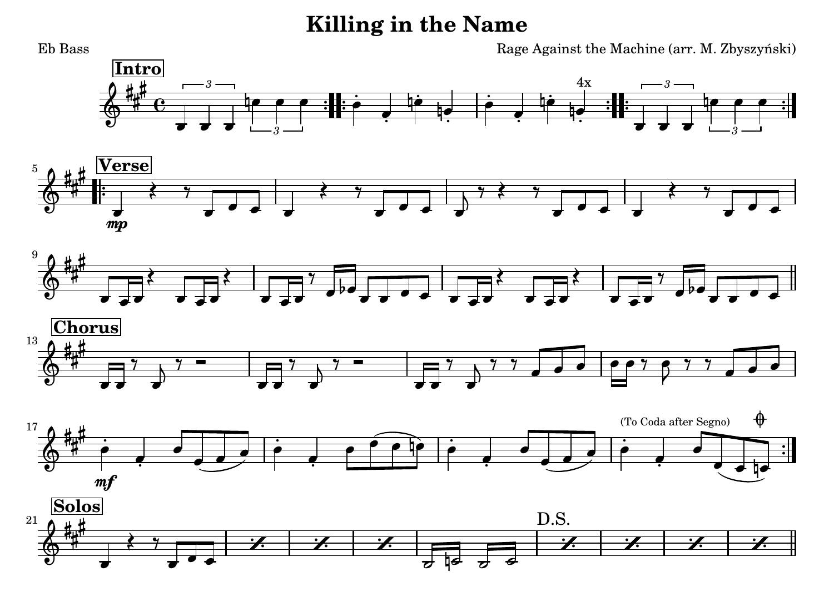## **Killing in the Name**